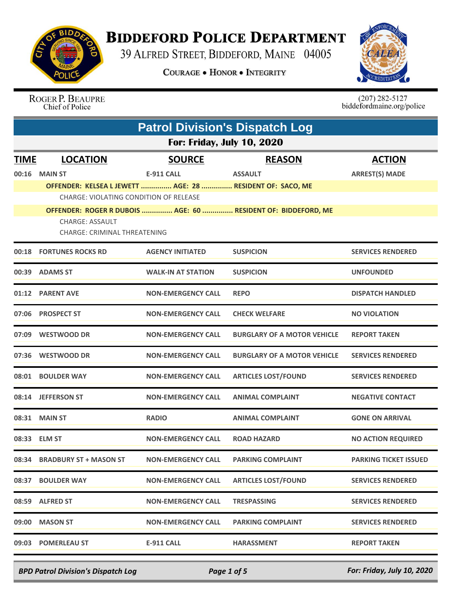

## **BIDDEFORD POLICE DEPARTMENT**

39 ALFRED STREET, BIDDEFORD, MAINE 04005

**COURAGE . HONOR . INTEGRITY** 



## ROGER P. BEAUPRE Chief of Police

 $(207)$  282-5127<br>biddefordmaine.org/police

|             |                                                               | <b>Patrol Division's Dispatch Log</b> |                                                               |                              |  |
|-------------|---------------------------------------------------------------|---------------------------------------|---------------------------------------------------------------|------------------------------|--|
|             | <b>For: Friday, July 10, 2020</b>                             |                                       |                                                               |                              |  |
| <b>TIME</b> | <b>LOCATION</b>                                               | <b>SOURCE</b>                         | <b>REASON</b>                                                 | <b>ACTION</b>                |  |
|             | 00:16 MAIN ST                                                 | <b>E-911 CALL</b>                     | <b>ASSAULT</b>                                                | <b>ARREST(S) MADE</b>        |  |
|             | OFFENDER: KELSEA L JEWETT  AGE: 28  RESIDENT OF: SACO, ME     |                                       |                                                               |                              |  |
|             | CHARGE: VIOLATING CONDITION OF RELEASE                        |                                       | OFFENDER: ROGER R DUBOIS  AGE: 60  RESIDENT OF: BIDDEFORD, ME |                              |  |
|             | <b>CHARGE: ASSAULT</b><br><b>CHARGE: CRIMINAL THREATENING</b> |                                       |                                                               |                              |  |
|             | 00:18 FORTUNES ROCKS RD                                       | <b>AGENCY INITIATED</b>               | <b>SUSPICION</b>                                              | <b>SERVICES RENDERED</b>     |  |
|             | 00:39 ADAMS ST                                                | <b>WALK-IN AT STATION</b>             | <b>SUSPICION</b>                                              | <b>UNFOUNDED</b>             |  |
|             | 01:12 PARENT AVE                                              | <b>NON-EMERGENCY CALL</b>             | <b>REPO</b>                                                   | <b>DISPATCH HANDLED</b>      |  |
|             | 07:06 PROSPECT ST                                             | <b>NON-EMERGENCY CALL</b>             | <b>CHECK WELFARE</b>                                          | <b>NO VIOLATION</b>          |  |
|             | 07:09 WESTWOOD DR                                             | <b>NON-EMERGENCY CALL</b>             | <b>BURGLARY OF A MOTOR VEHICLE</b>                            | <b>REPORT TAKEN</b>          |  |
| 07:36       | <b>WESTWOOD DR</b>                                            | <b>NON-EMERGENCY CALL</b>             | <b>BURGLARY OF A MOTOR VEHICLE</b>                            | <b>SERVICES RENDERED</b>     |  |
|             | 08:01 BOULDER WAY                                             | <b>NON-EMERGENCY CALL</b>             | <b>ARTICLES LOST/FOUND</b>                                    | <b>SERVICES RENDERED</b>     |  |
|             | 08:14 JEFFERSON ST                                            | <b>NON-EMERGENCY CALL</b>             | <b>ANIMAL COMPLAINT</b>                                       | <b>NEGATIVE CONTACT</b>      |  |
|             | 08:31 MAIN ST                                                 | <b>RADIO</b>                          | <b>ANIMAL COMPLAINT</b>                                       | <b>GONE ON ARRIVAL</b>       |  |
|             | 08:33 ELM ST                                                  | <b>NON-EMERGENCY CALL</b>             | <b>ROAD HAZARD</b>                                            | <b>NO ACTION REQUIRED</b>    |  |
|             | 08:34 BRADBURY ST + MASON ST                                  | <b>NON-EMERGENCY CALL</b>             | <b>PARKING COMPLAINT</b>                                      | <b>PARKING TICKET ISSUED</b> |  |
|             | 08:37 BOULDER WAY                                             | <b>NON-EMERGENCY CALL</b>             | <b>ARTICLES LOST/FOUND</b>                                    | <b>SERVICES RENDERED</b>     |  |
|             | 08:59 ALFRED ST                                               | <b>NON-EMERGENCY CALL</b>             | <b>TRESPASSING</b>                                            | <b>SERVICES RENDERED</b>     |  |
|             | 09:00 MASON ST                                                | <b>NON-EMERGENCY CALL</b>             | <b>PARKING COMPLAINT</b>                                      | <b>SERVICES RENDERED</b>     |  |
|             | 09:03 POMERLEAU ST                                            | E-911 CALL                            | <b>HARASSMENT</b>                                             | <b>REPORT TAKEN</b>          |  |

*BPD Patrol Division's Dispatch Log Page 1 of 5 For: Friday, July 10, 2020*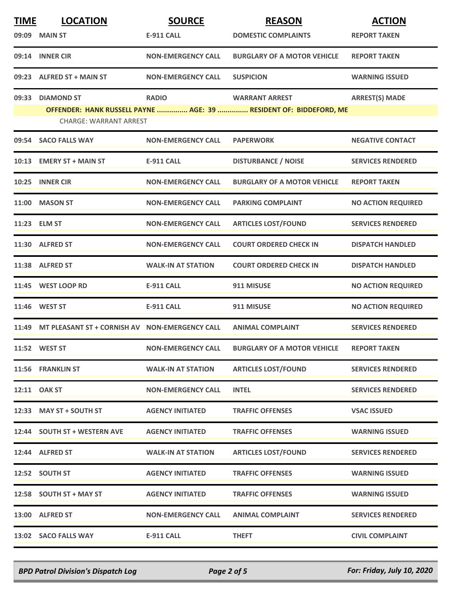| <b>TIME</b> | <b>LOCATION</b>                                | <b>SOURCE</b>             | <b>REASON</b>                                                     | <b>ACTION</b>             |
|-------------|------------------------------------------------|---------------------------|-------------------------------------------------------------------|---------------------------|
|             | 09:09 MAIN ST                                  | <b>E-911 CALL</b>         | <b>DOMESTIC COMPLAINTS</b>                                        | <b>REPORT TAKEN</b>       |
|             | 09:14 INNER CIR                                | <b>NON-EMERGENCY CALL</b> | <b>BURGLARY OF A MOTOR VEHICLE</b>                                | <b>REPORT TAKEN</b>       |
|             | 09:23 ALFRED ST + MAIN ST                      | <b>NON-EMERGENCY CALL</b> | <b>SUSPICION</b>                                                  | <b>WARNING ISSUED</b>     |
| 09:33       | <b>DIAMOND ST</b>                              | <b>RADIO</b>              | <b>WARRANT ARREST</b>                                             | <b>ARREST(S) MADE</b>     |
|             | <b>CHARGE: WARRANT ARREST</b>                  |                           | OFFENDER: HANK RUSSELL PAYNE  AGE: 39  RESIDENT OF: BIDDEFORD, ME |                           |
|             | 09:54 SACO FALLS WAY                           | <b>NON-EMERGENCY CALL</b> | <b>PAPERWORK</b>                                                  | <b>NEGATIVE CONTACT</b>   |
|             | 10:13 EMERY ST + MAIN ST                       | E-911 CALL                | <b>DISTURBANCE / NOISE</b>                                        | <b>SERVICES RENDERED</b>  |
|             | 10:25 INNER CIR                                | <b>NON-EMERGENCY CALL</b> | <b>BURGLARY OF A MOTOR VEHICLE</b>                                | <b>REPORT TAKEN</b>       |
|             | 11:00 MASON ST                                 | <b>NON-EMERGENCY CALL</b> | <b>PARKING COMPLAINT</b>                                          | <b>NO ACTION REQUIRED</b> |
|             | 11:23 ELM ST                                   | <b>NON-EMERGENCY CALL</b> | <b>ARTICLES LOST/FOUND</b>                                        | <b>SERVICES RENDERED</b>  |
|             | 11:30 ALFRED ST                                | <b>NON-EMERGENCY CALL</b> | <b>COURT ORDERED CHECK IN</b>                                     | <b>DISPATCH HANDLED</b>   |
|             | 11:38 ALFRED ST                                | <b>WALK-IN AT STATION</b> | <b>COURT ORDERED CHECK IN</b>                                     | <b>DISPATCH HANDLED</b>   |
|             | 11:45 WEST LOOP RD                             | <b>E-911 CALL</b>         | 911 MISUSE                                                        | <b>NO ACTION REQUIRED</b> |
|             | 11:46 WEST ST                                  | <b>E-911 CALL</b>         | 911 MISUSE                                                        | <b>NO ACTION REQUIRED</b> |
| 11:49       | MT PLEASANT ST + CORNISH AV NON-EMERGENCY CALL |                           | <b>ANIMAL COMPLAINT</b>                                           | <b>SERVICES RENDERED</b>  |
|             | 11:52 WEST ST                                  | <b>NON-EMERGENCY CALL</b> | <b>BURGLARY OF A MOTOR VEHICLE</b>                                | <b>REPORT TAKEN</b>       |
|             | 11:56 FRANKLIN ST                              | <b>WALK-IN AT STATION</b> | <b>ARTICLES LOST/FOUND</b>                                        | <b>SERVICES RENDERED</b>  |
|             | 12:11 OAK ST                                   | <b>NON-EMERGENCY CALL</b> | <b>INTEL</b>                                                      | <b>SERVICES RENDERED</b>  |
|             | 12:33 MAY ST + SOUTH ST                        | <b>AGENCY INITIATED</b>   | <b>TRAFFIC OFFENSES</b>                                           | <b>VSAC ISSUED</b>        |
|             | 12:44 SOUTH ST + WESTERN AVE                   | <b>AGENCY INITIATED</b>   | <b>TRAFFIC OFFENSES</b>                                           | <b>WARNING ISSUED</b>     |
|             | 12:44 ALFRED ST                                | <b>WALK-IN AT STATION</b> | <b>ARTICLES LOST/FOUND</b>                                        | <b>SERVICES RENDERED</b>  |
|             | 12:52 SOUTH ST                                 | <b>AGENCY INITIATED</b>   | <b>TRAFFIC OFFENSES</b>                                           | <b>WARNING ISSUED</b>     |
|             | 12:58 SOUTH ST + MAY ST                        | <b>AGENCY INITIATED</b>   | <b>TRAFFIC OFFENSES</b>                                           | <b>WARNING ISSUED</b>     |
|             | 13:00 ALFRED ST                                | <b>NON-EMERGENCY CALL</b> | <b>ANIMAL COMPLAINT</b>                                           | <b>SERVICES RENDERED</b>  |
|             | 13:02 SACO FALLS WAY                           | <b>E-911 CALL</b>         | <b>THEFT</b>                                                      | <b>CIVIL COMPLAINT</b>    |

*BPD Patrol Division's Dispatch Log Page 2 of 5 For: Friday, July 10, 2020*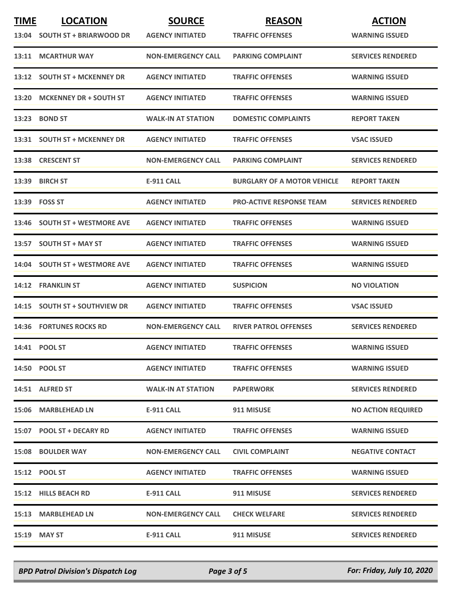| <b>TIME</b> | <b>LOCATION</b>                | <b>SOURCE</b>             | <b>REASON</b>                      | <b>ACTION</b>             |
|-------------|--------------------------------|---------------------------|------------------------------------|---------------------------|
|             | 13:04 SOUTH ST + BRIARWOOD DR  | <b>AGENCY INITIATED</b>   | <b>TRAFFIC OFFENSES</b>            | <b>WARNING ISSUED</b>     |
|             | 13:11 MCARTHUR WAY             | <b>NON-EMERGENCY CALL</b> | <b>PARKING COMPLAINT</b>           | <b>SERVICES RENDERED</b>  |
| 13:12       | <b>SOUTH ST + MCKENNEY DR</b>  | <b>AGENCY INITIATED</b>   | <b>TRAFFIC OFFENSES</b>            | <b>WARNING ISSUED</b>     |
|             | 13:20 MCKENNEY DR + SOUTH ST   | <b>AGENCY INITIATED</b>   | <b>TRAFFIC OFFENSES</b>            | <b>WARNING ISSUED</b>     |
|             | 13:23 BOND ST                  | <b>WALK-IN AT STATION</b> | <b>DOMESTIC COMPLAINTS</b>         | <b>REPORT TAKEN</b>       |
|             | 13:31 SOUTH ST + MCKENNEY DR   | <b>AGENCY INITIATED</b>   | <b>TRAFFIC OFFENSES</b>            | <b>VSAC ISSUED</b>        |
|             | 13:38 CRESCENT ST              | <b>NON-EMERGENCY CALL</b> | <b>PARKING COMPLAINT</b>           | <b>SERVICES RENDERED</b>  |
|             | 13:39 BIRCH ST                 | <b>E-911 CALL</b>         | <b>BURGLARY OF A MOTOR VEHICLE</b> | <b>REPORT TAKEN</b>       |
|             | 13:39 FOSS ST                  | <b>AGENCY INITIATED</b>   | <b>PRO-ACTIVE RESPONSE TEAM</b>    | <b>SERVICES RENDERED</b>  |
| 13:46       | <b>SOUTH ST + WESTMORE AVE</b> | <b>AGENCY INITIATED</b>   | <b>TRAFFIC OFFENSES</b>            | <b>WARNING ISSUED</b>     |
|             | 13:57 SOUTH ST + MAY ST        | <b>AGENCY INITIATED</b>   | <b>TRAFFIC OFFENSES</b>            | <b>WARNING ISSUED</b>     |
|             | 14:04 SOUTH ST + WESTMORE AVE  | <b>AGENCY INITIATED</b>   | <b>TRAFFIC OFFENSES</b>            | <b>WARNING ISSUED</b>     |
|             | 14:12 FRANKLIN ST              | <b>AGENCY INITIATED</b>   | <b>SUSPICION</b>                   | <b>NO VIOLATION</b>       |
|             | 14:15 SOUTH ST + SOUTHVIEW DR  | <b>AGENCY INITIATED</b>   | <b>TRAFFIC OFFENSES</b>            | <b>VSAC ISSUED</b>        |
|             | <b>14:36 FORTUNES ROCKS RD</b> | <b>NON-EMERGENCY CALL</b> | <b>RIVER PATROL OFFENSES</b>       | <b>SERVICES RENDERED</b>  |
|             | 14:41 POOL ST                  | <b>AGENCY INITIATED</b>   | <b>TRAFFIC OFFENSES</b>            | <b>WARNING ISSUED</b>     |
|             | 14:50 POOL ST                  | <b>AGENCY INITIATED</b>   | <b>TRAFFIC OFFENSES</b>            | <b>WARNING ISSUED</b>     |
|             | 14:51 ALFRED ST                | <b>WALK-IN AT STATION</b> | <b>PAPERWORK</b>                   | <b>SERVICES RENDERED</b>  |
|             | 15:06 MARBLEHEAD LN            | E-911 CALL                | 911 MISUSE                         | <b>NO ACTION REQUIRED</b> |
|             | 15:07 POOL ST + DECARY RD      | <b>AGENCY INITIATED</b>   | <b>TRAFFIC OFFENSES</b>            | <b>WARNING ISSUED</b>     |
|             | <b>15:08 BOULDER WAY</b>       | <b>NON-EMERGENCY CALL</b> | <b>CIVIL COMPLAINT</b>             | <b>NEGATIVE CONTACT</b>   |
|             | 15:12 POOL ST                  | <b>AGENCY INITIATED</b>   | <b>TRAFFIC OFFENSES</b>            | <b>WARNING ISSUED</b>     |
|             | 15:12 HILLS BEACH RD           | E-911 CALL                | 911 MISUSE                         | <b>SERVICES RENDERED</b>  |
|             | 15:13 MARBLEHEAD LN            | <b>NON-EMERGENCY CALL</b> | <b>CHECK WELFARE</b>               | <b>SERVICES RENDERED</b>  |
|             | 15:19 MAY ST                   | E-911 CALL                | 911 MISUSE                         | <b>SERVICES RENDERED</b>  |

*BPD Patrol Division's Dispatch Log Page 3 of 5 For: Friday, July 10, 2020*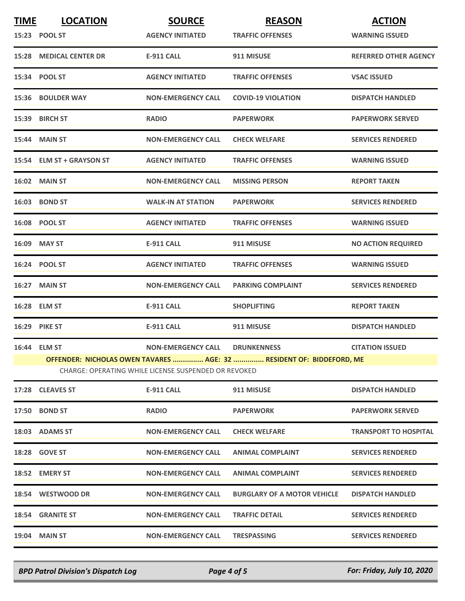| <b>TIME</b> | <b>LOCATION</b>                                                                                                              | <b>SOURCE</b>             | <b>REASON</b>                      | <b>ACTION</b>                |
|-------------|------------------------------------------------------------------------------------------------------------------------------|---------------------------|------------------------------------|------------------------------|
|             | 15:23 POOL ST                                                                                                                | <b>AGENCY INITIATED</b>   | <b>TRAFFIC OFFENSES</b>            | <b>WARNING ISSUED</b>        |
|             | <b>15:28 MEDICAL CENTER DR</b>                                                                                               | <b>E-911 CALL</b>         | 911 MISUSE                         | <b>REFERRED OTHER AGENCY</b> |
|             | 15:34 POOL ST                                                                                                                | <b>AGENCY INITIATED</b>   | <b>TRAFFIC OFFENSES</b>            | <b>VSAC ISSUED</b>           |
|             | <b>15:36 BOULDER WAY</b>                                                                                                     | <b>NON-EMERGENCY CALL</b> | <b>COVID-19 VIOLATION</b>          | <b>DISPATCH HANDLED</b>      |
|             | 15:39 BIRCH ST                                                                                                               | <b>RADIO</b>              | <b>PAPERWORK</b>                   | <b>PAPERWORK SERVED</b>      |
|             | 15:44 MAIN ST                                                                                                                | <b>NON-EMERGENCY CALL</b> | <b>CHECK WELFARE</b>               | <b>SERVICES RENDERED</b>     |
|             | 15:54 ELM ST + GRAYSON ST                                                                                                    | <b>AGENCY INITIATED</b>   | <b>TRAFFIC OFFENSES</b>            | <b>WARNING ISSUED</b>        |
|             | 16:02 MAIN ST                                                                                                                | <b>NON-EMERGENCY CALL</b> | <b>MISSING PERSON</b>              | <b>REPORT TAKEN</b>          |
|             | <b>16:03 BOND ST</b>                                                                                                         | <b>WALK-IN AT STATION</b> | <b>PAPERWORK</b>                   | <b>SERVICES RENDERED</b>     |
|             | 16:08 POOL ST                                                                                                                | <b>AGENCY INITIATED</b>   | <b>TRAFFIC OFFENSES</b>            | <b>WARNING ISSUED</b>        |
|             | 16:09 MAY ST                                                                                                                 | <b>E-911 CALL</b>         | 911 MISUSE                         | <b>NO ACTION REQUIRED</b>    |
|             | 16:24 POOL ST                                                                                                                | <b>AGENCY INITIATED</b>   | <b>TRAFFIC OFFENSES</b>            | <b>WARNING ISSUED</b>        |
|             | 16:27 MAIN ST                                                                                                                | <b>NON-EMERGENCY CALL</b> | <b>PARKING COMPLAINT</b>           | <b>SERVICES RENDERED</b>     |
|             | 16:28 ELM ST                                                                                                                 | <b>E-911 CALL</b>         | <b>SHOPLIFTING</b>                 | <b>REPORT TAKEN</b>          |
|             | 16:29 PIKE ST                                                                                                                | <b>E-911 CALL</b>         | 911 MISUSE                         | <b>DISPATCH HANDLED</b>      |
|             | 16:44 ELM ST                                                                                                                 | <b>NON-EMERGENCY CALL</b> | <b>DRUNKENNESS</b>                 | <b>CITATION ISSUED</b>       |
|             | OFFENDER: NICHOLAS OWEN TAVARES  AGE: 32  RESIDENT OF: BIDDEFORD, ME<br>CHARGE: OPERATING WHILE LICENSE SUSPENDED OR REVOKED |                           |                                    |                              |
|             | 17:28 CLEAVES ST                                                                                                             | <b>E-911 CALL</b>         | 911 MISUSE                         | <b>DISPATCH HANDLED</b>      |
|             | 17:50 BOND ST                                                                                                                | <b>RADIO</b>              | <b>PAPERWORK</b>                   | <b>PAPERWORK SERVED</b>      |
|             | 18:03 ADAMS ST                                                                                                               | <b>NON-EMERGENCY CALL</b> | <b>CHECK WELFARE</b>               | <b>TRANSPORT TO HOSPITAL</b> |
|             | <b>18:28 GOVE ST</b>                                                                                                         | <b>NON-EMERGENCY CALL</b> | <b>ANIMAL COMPLAINT</b>            | <b>SERVICES RENDERED</b>     |
|             | 18:52 EMERY ST                                                                                                               | <b>NON-EMERGENCY CALL</b> | <b>ANIMAL COMPLAINT</b>            | <b>SERVICES RENDERED</b>     |
|             | 18:54 WESTWOOD DR                                                                                                            | <b>NON-EMERGENCY CALL</b> | <b>BURGLARY OF A MOTOR VEHICLE</b> | <b>DISPATCH HANDLED</b>      |
|             | <b>18:54 GRANITE ST</b>                                                                                                      | <b>NON-EMERGENCY CALL</b> | <b>TRAFFIC DETAIL</b>              | <b>SERVICES RENDERED</b>     |
|             | <b>19:04 MAIN ST</b>                                                                                                         | <b>NON-EMERGENCY CALL</b> | <b>TRESPASSING</b>                 | <b>SERVICES RENDERED</b>     |
|             |                                                                                                                              |                           |                                    |                              |

*BPD Patrol Division's Dispatch Log Page 4 of 5 For: Friday, July 10, 2020*